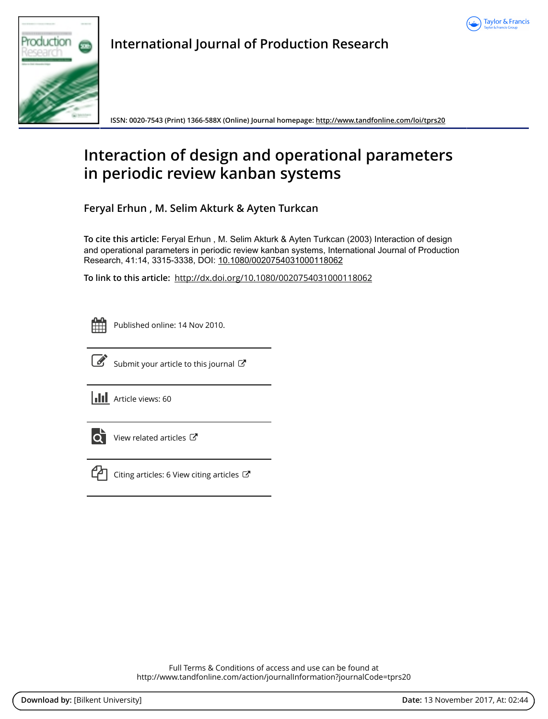



**International Journal of Production Research**

**ISSN: 0020-7543 (Print) 1366-588X (Online) Journal homepage: <http://www.tandfonline.com/loi/tprs20>**

# **Interaction of design and operational parameters in periodic review kanban systems**

**Feryal Erhun , M. Selim Akturk & Ayten Turkcan**

**To cite this article:** Feryal Erhun , M. Selim Akturk & Ayten Turkcan (2003) Interaction of design and operational parameters in periodic review kanban systems, International Journal of Production Research, 41:14, 3315-3338, DOI: [10.1080/0020754031000118062](http://www.tandfonline.com/action/showCitFormats?doi=10.1080/0020754031000118062)

**To link to this article:** <http://dx.doi.org/10.1080/0020754031000118062>

Published online: 14 Nov 2010.



 $\mathbb G$  [Submit your article to this journal](http://www.tandfonline.com/action/authorSubmission?journalCode=tprs20&show=instructions)  $\mathbb G$ 

**III** Article views: 60



 $\overline{Q}$  [View related articles](http://www.tandfonline.com/doi/mlt/10.1080/0020754031000118062)  $\overline{C}$ 



 $\Box$  [Citing articles: 6 View citing articles](http://www.tandfonline.com/doi/citedby/10.1080/0020754031000118062#tabModule)  $\Box$ 

Full Terms & Conditions of access and use can be found at <http://www.tandfonline.com/action/journalInformation?journalCode=tprs20>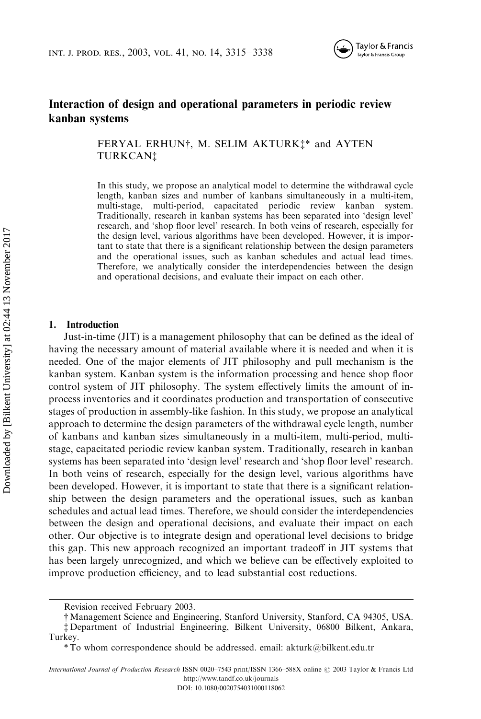

## Interaction of design and operational parameters in periodic review kanban systems

FERYAL ERHUN<sup>†</sup>, M. SELIM AKTURK<sup>+\*</sup> and AYTEN TURKCAN<sup>†</sup>

In this study, we propose an analytical model to determine the withdrawal cycle length, kanban sizes and number of kanbans simultaneously in a multi-item, multi-stage, multi-period, capacitated periodic review kanban system. Traditionally, research in kanban systems has been separated into 'design level' research, and 'shop floor level' research. In both veins of research, especially for the design level, various algorithms have been developed. However, it is important to state that there is a significant relationship between the design parameters and the operational issues, such as kanban schedules and actual lead times. Therefore, we analytically consider the interdependencies between the design and operational decisions, and evaluate their impact on each other.

## 1. Introduction

Just-in-time (JIT) is a management philosophy that can be defined as the ideal of having the necessary amount of material available where it is needed and when it is needed. One of the major elements of JIT philosophy and pull mechanism is the kanban system. Kanban system is the information processing and hence shop floor control system of JIT philosophy. The system effectively limits the amount of inprocess inventories and it coordinates production and transportation of consecutive stages of production in assembly-like fashion. In this study, we propose an analytical approach to determine the design parameters of the withdrawal cycle length, number of kanbans and kanban sizes simultaneously in a multi-item, multi-period, multistage, capacitated periodic review kanban system. Traditionally, research in kanban systems has been separated into 'design level' research and 'shop floor level' research. In both veins of research, especially for the design level, various algorithms have been developed. However, it is important to state that there is a significant relationship between the design parameters and the operational issues, such as kanban schedules and actual lead times. Therefore, we should consider the interdependencies between the design and operational decisions, and evaluate their impact on each other. Our objective is to integrate design and operational level decisions to bridge this gap. This new approach recognized an important tradeoff in JIT systems that has been largely unrecognized, and which we believe can be effectively exploited to improve production efficiency, and to lead substantial cost reductions.

Revision received February 2003.

<sup>{</sup> Management Science and Engineering, Stanford University, Stanford, CA 94305, USA.

<sup>{</sup> Department of Industrial Engineering, Bilkent University, 06800 Bilkent, Ankara, Turkey.

<sup>\*</sup> To whom correspondence should be addressed. email: akturk@bilkent.edu.tr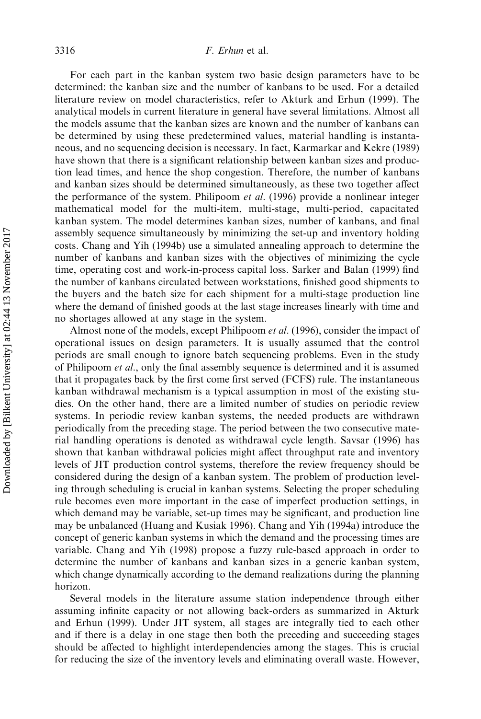## 3316 F. Erhun et al.

For each part in the kanban system two basic design parameters have to be determined: the kanban size and the number of kanbans to be used. For a detailed literature review on model characteristics, refer to Akturk and Erhun (1999). The analytical models in current literature in general have several limitations. Almost all the models assume that the kanban sizes are known and the number of kanbans can be determined by using these predetermined values, material handling is instantaneous, and no sequencing decision is necessary. In fact, Karmarkar and Kekre (1989) have shown that there is a significant relationship between kanban sizes and production lead times, and hence the shop congestion. Therefore, the number of kanbans and kanban sizes should be determined simultaneously, as these two together affect the performance of the system. Philipoom et al. (1996) provide a nonlinear integer mathematical model for the multi-item, multi-stage, multi-period, capacitated kanban system. The model determines kanban sizes, number of kanbans, and final assembly sequence simultaneously by minimizing the set-up and inventory holding costs. Chang and Yih (1994b) use a simulated annealing approach to determine the number of kanbans and kanban sizes with the objectives of minimizing the cycle time, operating cost and work-in-process capital loss. Sarker and Balan (1999) find the number of kanbans circulated between workstations, finished good shipments to the buyers and the batch size for each shipment for a multi-stage production line where the demand of finished goods at the last stage increases linearly with time and no shortages allowed at any stage in the system.

Almost none of the models, except Philipoom et al. (1996), consider the impact of operational issues on design parameters. It is usually assumed that the control periods are small enough to ignore batch sequencing problems. Even in the study of Philipoom et al., only the final assembly sequence is determined and it is assumed that it propagates back by the first come first served (FCFS) rule. The instantaneous kanban withdrawal mechanism is a typical assumption in most of the existing studies. On the other hand, there are a limited number of studies on periodic review systems. In periodic review kanban systems, the needed products are withdrawn periodically from the preceding stage. The period between the two consecutive material handling operations is denoted as withdrawal cycle length. Savsar (1996) has shown that kanban withdrawal policies might affect throughput rate and inventory levels of JIT production control systems, therefore the review frequency should be considered during the design of a kanban system. The problem of production leveling through scheduling is crucial in kanban systems. Selecting the proper scheduling rule becomes even more important in the case of imperfect production settings, in which demand may be variable, set-up times may be significant, and production line may be unbalanced (Huang and Kusiak 1996). Chang and Yih (1994a) introduce the concept of generic kanban systems in which the demand and the processing times are variable. Chang and Yih (1998) propose a fuzzy rule-based approach in order to determine the number of kanbans and kanban sizes in a generic kanban system, which change dynamically according to the demand realizations during the planning horizon.

Several models in the literature assume station independence through either assuming infinite capacity or not allowing back-orders as summarized in Akturk and Erhun (1999). Under JIT system, all stages are integrally tied to each other and if there is a delay in one stage then both the preceding and succeeding stages should be affected to highlight interdependencies among the stages. This is crucial for reducing the size of the inventory levels and eliminating overall waste. However,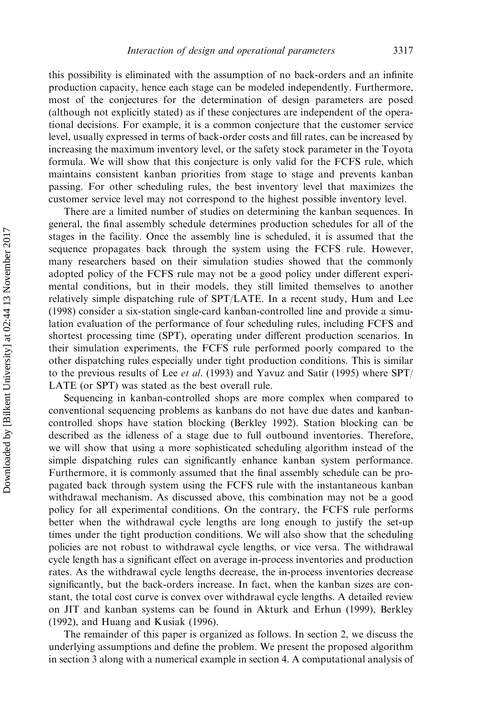this possibility is eliminated with the assumption of no back-orders and an infinite production capacity, hence each stage can be modeled independently. Furthermore, most of the conjectures for the determination of design parameters are posed (although not explicitly stated) as if these conjectures are independent of the operational decisions. For example, it is a common conjecture that the customer service level, usually expressed in terms of back-order costs and fill rates, can be increased by increasing the maximum inventory level, or the safety stock parameter in the Toyota formula. We will show that this conjecture is only valid for the FCFS rule, which maintains consistent kanban priorities from stage to stage and prevents kanban passing. For other scheduling rules, the best inventory level that maximizes the customer service level may not correspond to the highest possible inventory level.

There are a limited number of studies on determining the kanban sequences. In general, the final assembly schedule determines production schedules for all of the stages in the facility. Once the assembly line is scheduled, it is assumed that the sequence propagates back through the system using the FCFS rule. However, many researchers based on their simulation studies showed that the commonly adopted policy of the FCFS rule may not be a good policy under different experimental conditions, but in their models, they still limited themselves to another relatively simple dispatching rule of SPT/LATE. In a recent study, Hum and Lee (1998) consider a six-station single-card kanban-controlled line and provide a simulation evaluation of the performance of four scheduling rules, including FCFS and shortest processing time (SPT), operating under different production scenarios. In their simulation experiments, the FCFS rule performed poorly compared to the other dispatching rules especially under tight production conditions. This is similar to the previous results of Lee *et al.* (1993) and Yavuz and Satir (1995) where  $SPT/$ LATE (or SPT) was stated as the best overall rule.

Sequencing in kanban-controlled shops are more complex when compared to conventional sequencing problems as kanbans do not have due dates and kanbancontrolled shops have station blocking (Berkley 1992). Station blocking can be described as the idleness of a stage due to full outbound inventories. Therefore, we will show that using a more sophisticated scheduling algorithm instead of the simple dispatching rules can significantly enhance kanban system performance. Furthermore, it is commonly assumed that the final assembly schedule can be propagated back through system using the FCFS rule with the instantaneous kanban withdrawal mechanism. As discussed above, this combination may not be a good policy for all experimental conditions. On the contrary, the FCFS rule performs better when the withdrawal cycle lengths are long enough to justify the set-up times under the tight production conditions. We will also show that the scheduling policies are not robust to withdrawal cycle lengths, or vice versa. The withdrawal cycle length has a significant effect on average in-process inventories and production rates. As the withdrawal cycle lengths decrease, the in-process inventories decrease significantly, but the back-orders increase. In fact, when the kanban sizes are constant, the total cost curve is convex over withdrawal cycle lengths. A detailed review on JIT and kanban systems can be found in Akturk and Erhun (1999), Berkley (1992), and Huang and Kusiak (1996).

The remainder of this paper is organized as follows. In section 2, we discuss the underlying assumptions and define the problem. We present the proposed algorithm in section 3 along with a numerical example in section 4. A computational analysis of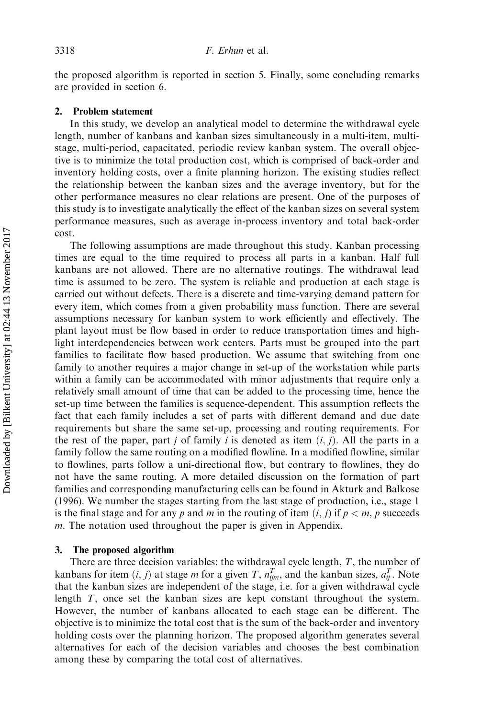the proposed algorithm is reported in section 5. Finally, some concluding remarks are provided in section 6.

#### 2. Problem statement

In this study, we develop an analytical model to determine the withdrawal cycle length, number of kanbans and kanban sizes simultaneously in a multi-item, multistage, multi-period, capacitated, periodic review kanban system. The overall objective is to minimize the total production cost, which is comprised of back-order and inventory holding costs, over a finite planning horizon. The existing studies reflect the relationship between the kanban sizes and the average inventory, but for the other performance measures no clear relations are present. One of the purposes of this study is to investigate analytically the effect of the kanban sizes on several system performance measures, such as average in-process inventory and total back-order cost.

The following assumptions are made throughout this study. Kanban processing times are equal to the time required to process all parts in a kanban. Half full kanbans are not allowed. There are no alternative routings. The withdrawal lead time is assumed to be zero. The system is reliable and production at each stage is carried out without defects. There is a discrete and time-varying demand pattern for every item, which comes from a given probability mass function. There are several assumptions necessary for kanban system to work efficiently and effectively. The plant layout must be flow based in order to reduce transportation times and highlight interdependencies between work centers. Parts must be grouped into the part families to facilitate flow based production. We assume that switching from one family to another requires a major change in set-up of the workstation while parts within a family can be accommodated with minor adjustments that require only a relatively small amount of time that can be added to the processing time, hence the set-up time between the families is sequence-dependent. This assumption reflects the fact that each family includes a set of parts with different demand and due date requirements but share the same set-up, processing and routing requirements. For the rest of the paper, part j of family i is denoted as item  $(i, j)$ . All the parts in a family follow the same routing on a modified flowline. In a modified flowline, similar to flowlines, parts follow a uni-directional flow, but contrary to flowlines, they do not have the same routing. A more detailed discussion on the formation of part families and corresponding manufacturing cells can be found in Akturk and Balkose (1996). We number the stages starting from the last stage of production, i.e., stage 1 is the final stage and for any p and m in the routing of item  $(i, j)$  if  $p < m$ , p succeeds m. The notation used throughout the paper is given in Appendix.

#### 3. The proposed algorithm

There are three decision variables: the withdrawal cycle length, T, the number of kanbans for item  $(i, j)$  at stage m for a given T,  $n_{ijm}^T$ , and the kanban sizes,  $a_{ij}^T$ . Note that the kanban sizes are independent of the stage, i.e. for a given withdrawal cycle length T, once set the kanban sizes are kept constant throughout the system. However, the number of kanbans allocated to each stage can be different. The objective is to minimize the total cost that is the sum of the back-order and inventory holding costs over the planning horizon. The proposed algorithm generates several alternatives for each of the decision variables and chooses the best combination among these by comparing the total cost of alternatives.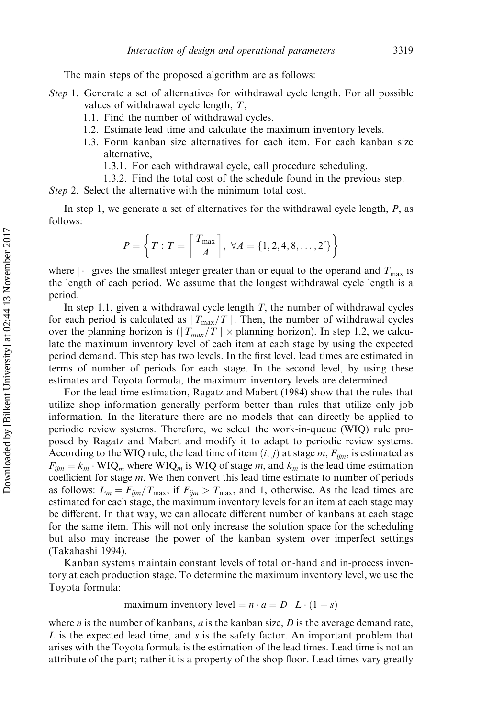The main steps of the proposed algorithm are as follows:

- Step 1. Generate a set of alternatives for withdrawal cycle length. For all possible values of withdrawal cycle length, T,
	- 1.1. Find the number of withdrawal cycles.
	- 1.2. Estimate lead time and calculate the maximum inventory levels.
	- 1.3. Form kanban size alternatives for each item. For each kanban size alternative,
		- 1.3.1. For each withdrawal cycle, call procedure scheduling.
	- 1.3.2. Find the total cost of the schedule found in the previous step.

Step 2. Select the alternative with the minimum total cost.

In step 1, we generate a set of alternatives for the withdrawal cycle length,  $P$ , as follows:

$$
P = \left\{ T : T = \left\lceil \frac{T_{\text{max}}}{A} \right\rceil, \ \forall A = \{1, 2, 4, 8, \dots, 2^r\} \right\}
$$

where  $\lceil \cdot \rceil$  gives the smallest integer greater than or equal to the operand and  $T_{\text{max}}$  is the length of each period. We assume that the longest withdrawal cycle length is a period.

In step 1.1, given a withdrawal cycle length  $T$ , the number of withdrawal cycles for each period is calculated as  $T_{\text{max}}/T$ . Then, the number of withdrawal cycles over the planning horizon is  $\left(\left[T_{max}/T\right] \times \text{planning horizon}\right)$ . In step 1.2, we calculate the maximum inventory level of each item at each stage by using the expected period demand. This step has two levels. In the first level, lead times are estimated in terms of number of periods for each stage. In the second level, by using these estimates and Toyota formula, the maximum inventory levels are determined.

For the lead time estimation, Ragatz and Mabert (1984) show that the rules that utilize shop information generally perform better than rules that utilize only job information. In the literature there are no models that can directly be applied to periodic review systems. Therefore, we select the work-in-queue (WIQ) rule proposed by Ragatz and Mabert and modify it to adapt to periodic review systems. According to the WIQ rule, the lead time of item  $(i, j)$  at stage m,  $F_{ijm}$ , is estimated as  $F_{lim} = k_m \cdot \text{WIQ}_m$  where WIQ<sub>m</sub> is WIQ of stage m, and  $k_m$  is the lead time estimation coefficient for stage m. We then convert this lead time estimate to number of periods as follows:  $L_m = F_{ijm}/T_{max}$ , if  $F_{ijm} > T_{max}$ , and 1, otherwise. As the lead times are estimated for each stage, the maximum inventory levels for an item at each stage may be different. In that way, we can allocate different number of kanbans at each stage for the same item. This will not only increase the solution space for the scheduling but also may increase the power of the kanban system over imperfect settings (Takahashi 1994).

Kanban systems maintain constant levels of total on-hand and in-process inventory at each production stage. To determine the maximum inventory level, we use the Toyota formula:

maximum inventory level = 
$$
n \cdot a = D \cdot L \cdot (1 + s)
$$

where *n* is the number of kanbans,  $a$  is the kanban size,  $D$  is the average demand rate, L is the expected lead time, and s is the safety factor. An important problem that arises with the Toyota formula is the estimation of the lead times. Lead time is not an attribute of the part; rather it is a property of the shop floor. Lead times vary greatly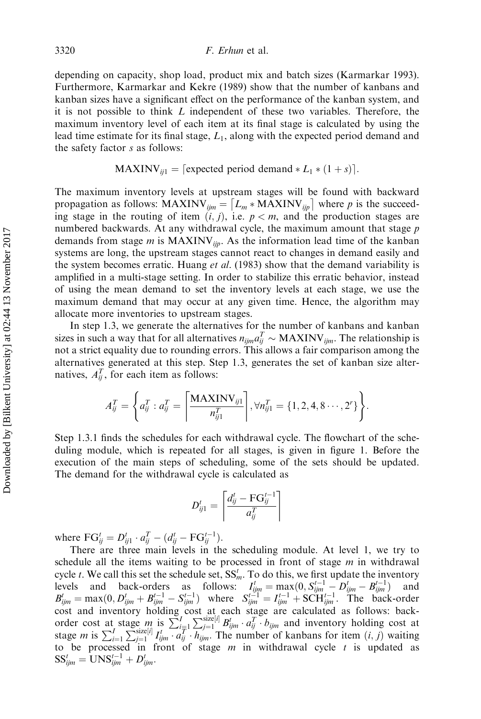depending on capacity, shop load, product mix and batch sizes (Karmarkar 1993). Furthermore, Karmarkar and Kekre (1989) show that the number of kanbans and kanban sizes have a significant effect on the performance of the kanban system, and it is not possible to think L independent of these two variables. Therefore, the maximum inventory level of each item at its final stage is calculated by using the lead time estimate for its final stage,  $L_1$ , along with the expected period demand and the safety factor s as follows:

MAXINV<sub>ij1</sub> = [expected period demand \* 
$$
L_1
$$
 \*  $(1 + s)$ ].

The maximum inventory levels at upstream stages will be found with backward propagation as follows:  $MAXINV_{ijm} = [L_m * MAXINV_{ijp}]$  where p is the succeeding stage in the routing of item  $(i, j)$ , i.e.  $p < m$ , and the production stages are numbered backwards. At any withdrawal cycle, the maximum amount that stage  $p$ demands from stage *m* is  $MAXINV_{ijp}$ . As the information lead time of the kanban systems are long, the upstream stages cannot react to changes in demand easily and the system becomes erratic. Huang *et al.* (1983) show that the demand variability is amplified in a multi-stage setting. In order to stabilize this erratic behavior, instead of using the mean demand to set the inventory levels at each stage, we use the maximum demand that may occur at any given time. Hence, the algorithm may allocate more inventories to upstream stages.

In step 1.3, we generate the alternatives for the number of kanbans and kanban sizes in such a way that for all alternatives  $n_{ijm} a_{ij}^T \sim \text{MAXINV}_{ijm}$ . The relationship is not a strict equality due to rounding errors. This allows a fair comparison among the alternatives generated at this step. Step 1.3, generates the set of kanban size alternatives,  $A_{ij}^T$ , for each item as follows:

$$
A_{ij}^T = \left\{ a_{ij}^T : a_{ij}^T = \left[ \frac{\text{MAXINV}_{ij1}}{n_{ij1}^T} \right], \forall n_{ij1}^T = \{1, 2, 4, 8 \cdots, 2^r\} \right\}.
$$

Step 1.3.1 finds the schedules for each withdrawal cycle. The flowchart of the scheduling module, which is repeated for all stages, is given in figure 1. Before the execution of the main steps of scheduling, some of the sets should be updated. The demand for the withdrawal cycle is calculated as

$$
D_{ij1}^t = \left\lceil \frac{d_{ij}^t - \text{FG}_{ij}^{t-1}}{a_{ij}^T} \right\rceil
$$

where  $FG_{ij}^{t} = D_{ij1}^{t} \cdot a_{ij}^{T} - (d_{ij}^{t} - FG_{ij}^{t-1}).$ 

There are three main levels in the scheduling module. At level 1, we try to schedule all the items waiting to be processed in front of stage  $m$  in withdrawal cycle t. We call this set the schedule set,  $SS_m^t$ . To do this, we first update the inventory levels and back-orders as follows:  $I_{ijm}^t = \max(0, S_{ijm}^{t-1} - D_{ijm}^t - B_{ijm}^{t-1})$  and  $B_{ijm}^t = \max(0, D_{ijm}^t + B_{ijm}^{t-1} - S_{ijm}^{t-1})$  where  $S_{ijm}^{t-1} = I_{ijm}^{t-1} + SCH_{ijm}^{t-1}$ . The back-order cost and inventory holding cost at each stage are calculated as follows: back-<br>order cost at stage *m* is  $\sum_{i=1}^{I} \sum_{j=1}^{size[i]} B_{ijm}^t \cdot a_{ij}^T \cdot b_{ijm}$  and inventory holding cost at<br>stage *m* is  $\sum_{i=1}^{I} \sum_{j=1}^{size[i]} I_{ijm$ to be processed in front of stage  $m$  in withdrawal cycle  $t$  is updated as  $\text{SS}^{t}_{ijm} = \text{UNS}^{t-1}_{ijm} + D^{t}_{ijm}.$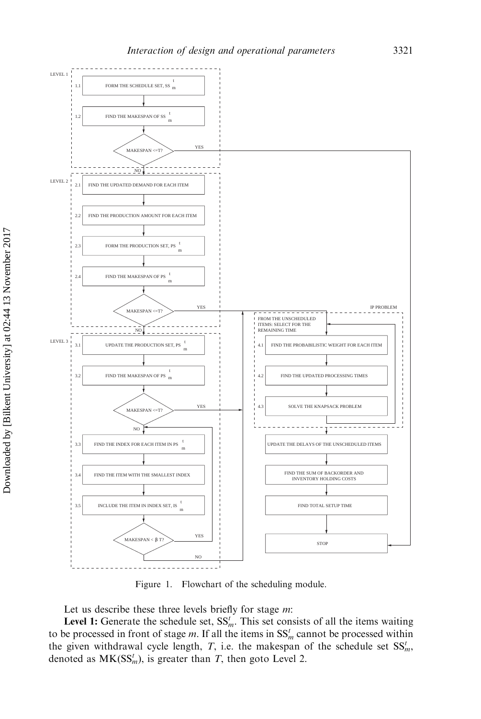

Figure 1. Flowchart of the scheduling module.

Let us describe these three levels briefly for stage  $m$ :

Level 1: Generate the schedule set,  $SS_m^t$ . This set consists of all the items waiting to be processed in front of stage m. If all the items in  $SS_m^t$  cannot be processed within the given withdrawal cycle length, T, i.e. the makespan of the schedule set  $SS_m^t$ , denoted as  $MK(SS<sub>m</sub><sup>t</sup>)$ , is greater than T, then goto Level 2.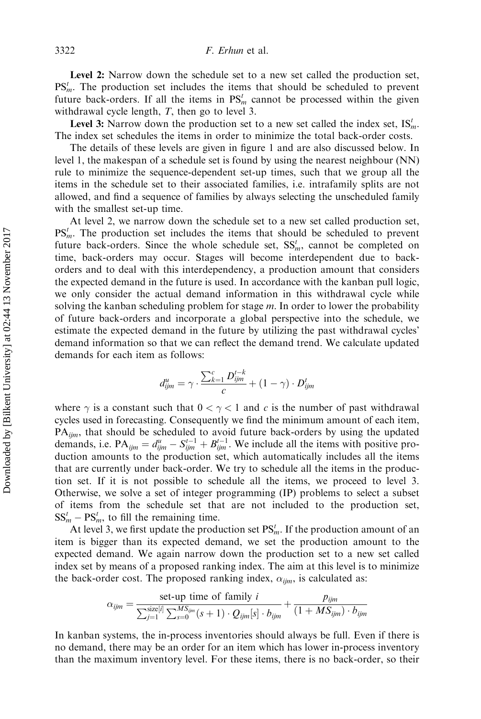Level 2: Narrow down the schedule set to a new set called the production set,  $PS_m^t$ . The production set includes the items that should be scheduled to prevent future back-orders. If all the items in  $PS_m^t$  cannot be processed within the given withdrawal cycle length, T, then go to level 3.

Level 3: Narrow down the production set to a new set called the index set,  $IS_m^t$ . The index set schedules the items in order to minimize the total back-order costs.

The details of these levels are given in figure 1 and are also discussed below. In level 1, the makespan of a schedule set is found by using the nearest neighbour (NN) rule to minimize the sequence-dependent set-up times, such that we group all the items in the schedule set to their associated families, i.e. intrafamily splits are not allowed, and find a sequence of families by always selecting the unscheduled family with the smallest set-up time.

At level 2, we narrow down the schedule set to a new set called production set,  $PS_m^t$ . The production set includes the items that should be scheduled to prevent future back-orders. Since the whole schedule set,  $SS_m^t$ , cannot be completed on time, back-orders may occur. Stages will become interdependent due to backorders and to deal with this interdependency, a production amount that considers the expected demand in the future is used. In accordance with the kanban pull logic, we only consider the actual demand information in this withdrawal cycle while solving the kanban scheduling problem for stage  $m$ . In order to lower the probability of future back-orders and incorporate a global perspective into the schedule, we estimate the expected demand in the future by utilizing the past withdrawal cycles' demand information so that we can reflect the demand trend. We calculate updated demands for each item as follows:

$$
d_{ijm}^u = \gamma \cdot \frac{\sum_{k=1}^c D_{ijm}^{t-k}}{c} + (1 - \gamma) \cdot D_{ijm}^t
$$

where  $\gamma$  is a constant such that  $0 < \gamma < 1$  and c is the number of past withdrawal cycles used in forecasting. Consequently we find the minimum amount of each item,  $PA<sub>ijm</sub>$ , that should be scheduled to avoid future back-orders by using the updated demands, i.e.  $PA_{ijm} = d_{ijm}^u - S_{ijm}^{t-1} + B_{ijm}^{t-1}$ . We include all the items with positive production amounts to the production set, which automatically includes all the items that are currently under back-order. We try to schedule all the items in the production set. If it is not possible to schedule all the items, we proceed to level 3. Otherwise, we solve a set of integer programming (IP) problems to select a subset of items from the schedule set that are not included to the production set,  $SS_m^t - PS_m^t$ , to fill the remaining time.

At level 3, we first update the production set  $PS_m^t$ . If the production amount of an item is bigger than its expected demand, we set the production amount to the expected demand. We again narrow down the production set to a new set called index set by means of a proposed ranking index. The aim at this level is to minimize the back-order cost. The proposed ranking index,  $\alpha_{ijm}$ , is calculated as:

$$
\alpha_{ijm} = \frac{\text{set-up time of family } i}{\sum_{j=1}^{\text{size}[i]} \sum_{s=0}^{MS_{ijm}} (s+1) \cdot Q_{ijm}[s] \cdot b_{ijm}} + \frac{p_{ijm}}{(1+MS_{ijm}) \cdot b_{ijm}}
$$

In kanban systems, the in-process inventories should always be full. Even if there is no demand, there may be an order for an item which has lower in-process inventory than the maximum inventory level. For these items, there is no back-order, so their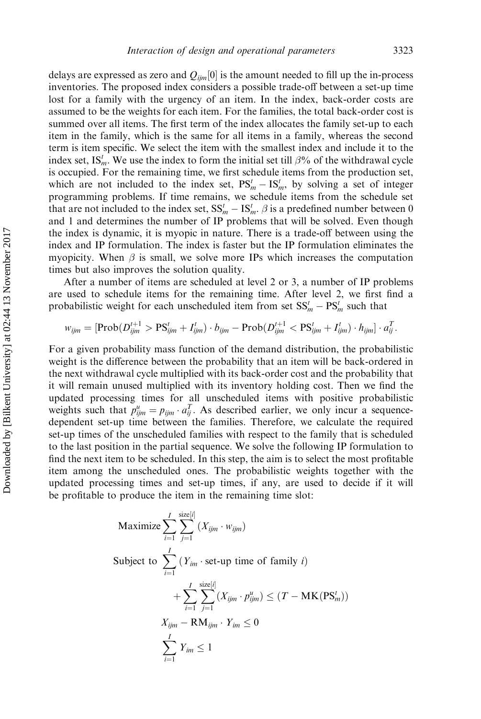delays are expressed as zero and  $Q_{ijm}[0]$  is the amount needed to fill up the in-process inventories. The proposed index considers a possible trade-off between a set-up time lost for a family with the urgency of an item. In the index, back-order costs are assumed to be the weights for each item. For the families, the total back-order cost is summed over all items. The first term of the index allocates the family set-up to each item in the family, which is the same for all items in a family, whereas the second term is item specific. We select the item with the smallest index and include it to the index set,  $\text{IS}_{m}^{t}$ . We use the index to form the initial set till  $\beta$ % of the withdrawal cycle is occupied. For the remaining time, we first schedule items from the production set, which are not included to the index set,  $PS_m^t - IS_m^t$ , by solving a set of integer programming problems. If time remains, we schedule items from the schedule set that are not included to the index set,  $SS_m^t - IS_m^t$ .  $\beta$  is a predefined number between 0 and 1 and determines the number of IP problems that will be solved. Even though the index is dynamic, it is myopic in nature. There is a trade-off between using the index and IP formulation. The index is faster but the IP formulation eliminates the myopicity. When  $\beta$  is small, we solve more IPs which increases the computation times but also improves the solution quality.

After a number of items are scheduled at level 2 or 3, a number of IP problems are used to schedule items for the remaining time. After level 2, we first find a probabilistic weight for each unscheduled item from set  $SS_m^t - PS_m^t$  such that

$$
w_{ijm} = \left[\text{Prob}(D_{ijm}^{t+1} > \text{PS}_{ijm}^t + I_{ijm}^t) \cdot b_{ijm} - \text{Prob}(D_{ijm}^{t+1} < \text{PS}_{ijm}^t + I_{ijm}^t) \cdot h_{ijm}\right] \cdot a_{ij}^T.
$$

For a given probability mass function of the demand distribution, the probabilistic weight is the difference between the probability that an item will be back-ordered in the next withdrawal cycle multiplied with its back-order cost and the probability that it will remain unused multiplied with its inventory holding cost. Then we find the updated processing times for all unscheduled items with positive probabilistic weights such that  $p_{ijm}^u = p_{ijm} \cdot a_{ij}^T$ . As described earlier, we only incur a sequencedependent set-up time between the families. Therefore, we calculate the required set-up times of the unscheduled families with respect to the family that is scheduled to the last position in the partial sequence. We solve the following IP formulation to find the next item to be scheduled. In this step, the aim is to select the most profitable item among the unscheduled ones. The probabilistic weights together with the updated processing times and set-up times, if any, are used to decide if it will be profitable to produce the item in the remaining time slot:

Maximize 
$$
\sum_{i=1}^{I} \sum_{j=1}^{\text{size}[i]} (X_{ijm} \cdot w_{ijm})
$$
  
Subject to 
$$
\sum_{i=1}^{I} (Y_{im} \cdot \text{set-up time of family } i)
$$

$$
+ \sum_{i=1}^{I} \sum_{j=1}^{\text{size}[i]} (X_{ijm} \cdot p_{ijm}^{u}) \le (T - MK(PS_{m}^{t}))
$$

$$
X_{ijm} - RM_{ijm} \cdot Y_{im} \le 0
$$

$$
\sum_{i=1}^{I} Y_{im} \le 1
$$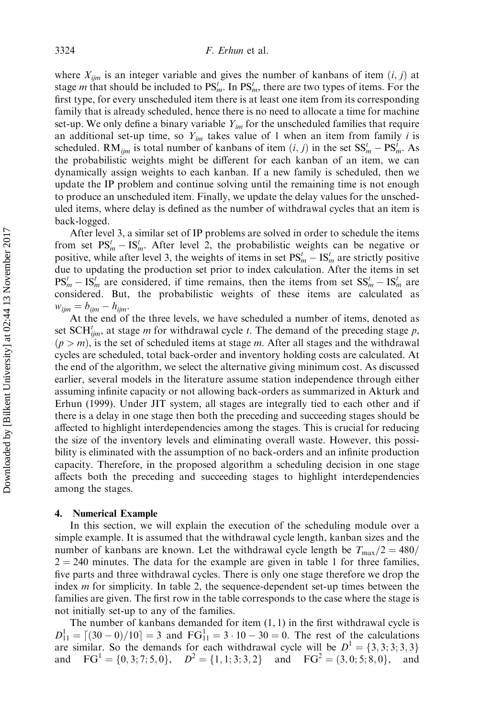where  $X_{ijm}$  is an integer variable and gives the number of kanbans of item  $(i, j)$  at stage *m* that should be included to  $PS_m^t$ . In  $PS_m^t$ , there are two types of items. For the first type, for every unscheduled item there is at least one item from its corresponding family that is already scheduled, hence there is no need to allocate a time for machine set-up. We only define a binary variable  $Y_{im}$  for the unscheduled families that require an additional set-up time, so  $Y_{im}$  takes value of 1 when an item from family i is scheduled. RM<sub>ijm</sub> is total number of kanbans of item  $(i, j)$  in the set  $SS_m^t - PS_m^i$ . As the probabilistic weights might be different for each kanban of an item, we can dynamically assign weights to each kanban. If a new family is scheduled, then we update the IP problem and continue solving until the remaining time is not enough to produce an unscheduled item. Finally, we update the delay values for the unscheduled items, where delay is defined as the number of withdrawal cycles that an item is back-logged.

After level 3, a similar set of IP problems are solved in order to schedule the items from set  $PS_m^t - IS_m^t$ . After level 2, the probabilistic weights can be negative or positive, while after level 3, the weights of items in set  $PS_m^t - IS_m^t$  are strictly positive due to updating the production set prior to index calculation. After the items in set  $PS_m^t - IS_m^t$  are considered, if time remains, then the items from set  $SS_m^t - IS_m^t$  are considered. But, the probabilistic weights of these items are calculated as  $w_{ijm} = b_{ijm} - h_{ijm}$ .

At the end of the three levels, we have scheduled a number of items, denoted as set SCH $_{ijm}^t$ , at stage *m* for withdrawal cycle *t*. The demand of the preceding stage *p*,  $(p > m)$ , is the set of scheduled items at stage m. After all stages and the withdrawal cycles are scheduled, total back-order and inventory holding costs are calculated. At the end of the algorithm, we select the alternative giving minimum cost. As discussed earlier, several models in the literature assume station independence through either assuming infinite capacity or not allowing back-orders as summarized in Akturk and Erhun (1999). Under JIT system, all stages are integrally tied to each other and if there is a delay in one stage then both the preceding and succeeding stages should be affected to highlight interdependencies among the stages. This is crucial for reducing the size of the inventory levels and eliminating overall waste. However, this possibility is eliminated with the assumption of no back-orders and an infinite production capacity. Therefore, in the proposed algorithm a scheduling decision in one stage affects both the preceding and succeeding stages to highlight interdependencies among the stages.

## 4. Numerical Example

In this section, we will explain the execution of the scheduling module over a simple example. It is assumed that the withdrawal cycle length, kanban sizes and the number of kanbans are known. Let the withdrawal cycle length be  $T_{\text{max}}/2 = 480/$  $2 = 240$  minutes. The data for the example are given in table 1 for three families, five parts and three withdrawal cycles. There is only one stage therefore we drop the index  $m$  for simplicity. In table 2, the sequence-dependent set-up times between the families are given. The first row in the table corresponds to the case where the stage is not initially set-up to any of the families.

The number of kanbans demanded for item  $(1, 1)$  in the first withdrawal cycle is  $D_{11}^1 = \lfloor (30 - 0)/10 \rfloor = 3$  and  $FG_{11}^1 = 3 \cdot 10 - 30 = 0$ . The rest of the calculations are similar. So the demands for each withdrawal cycle will be  $D^1 = \{3, 3; 3; 3, 3\}$ and  $FG<sup>1</sup> = {0, 3; 7; 5, 0}$ ,  $D<sup>2</sup> = {1, 1; 3; 3, 2}$  and  $FG<sup>2</sup> = {3, 0; 5; 8, 0}$ , and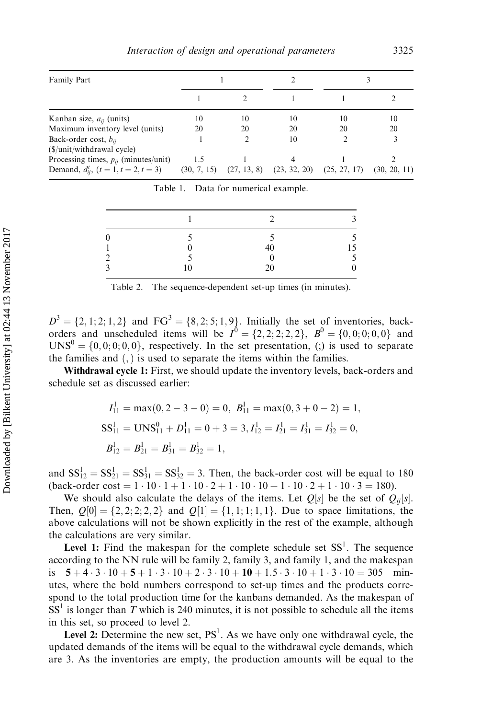| Family Part                                             |             |             |              |              |              |
|---------------------------------------------------------|-------------|-------------|--------------|--------------|--------------|
|                                                         |             |             |              |              |              |
| Kanban size, $a_{ij}$ (units)                           | 10          | 10          | 10           | 10           | 10           |
| Maximum inventory level (units)                         | 20          | 20          | 20           | 20           | 20           |
| Back-order cost, $b_{ii}$<br>(\$/unit/withdrawal cycle) |             |             | 10           |              |              |
| Processing times, $p_{ij}$ (minutes/unit)               | 1.5         |             |              |              |              |
| Demand, $d_{ii}^t$ , $(t = 1, t = 2, t = 3)$            | (30, 7, 15) | (27, 13, 8) | (23, 32, 20) | (25, 27, 17) | (30, 20, 11) |

Table 1. Data for numerical example.

|    | $\mathcal{L}$ |    |
|----|---------------|----|
|    |               |    |
|    | 40            | .5 |
|    | $\theta$      |    |
| 10 | 20            |    |

Table 2. The sequence-dependent set-up times (in minutes).

 $D^3 = \{2, 1; 2; 1, 2\}$  and  $FG^3 = \{8, 2; 5; 1, 9\}$ . Initially the set of inventories, backorders and unscheduled items will be  $I^0 = \{2, 2; 2; 2, 2\}$ ,  $B^0 = \{0, 0; 0; 0, 0\}$  and  $UNS<sup>0</sup> = {0, 0; 0; 0, 0}$ , respectively. In the set presentation, (;) is used to separate the families and  $(,)$  is used to separate the items within the families.

Withdrawal cycle 1: First, we should update the inventory levels, back-orders and schedule set as discussed earlier:

$$
I_{11}^1 = \max(0, 2 - 3 - 0) = 0, B_{11}^1 = \max(0, 3 + 0 - 2) = 1,
$$
  
\n
$$
SS_{11}^1 = \text{UNS}_{11}^0 + D_{11}^1 = 0 + 3 = 3, I_{12}^1 = I_{21}^1 = I_{31}^1 = I_{32}^1 = 0,
$$
  
\n
$$
B_{12}^1 = B_{21}^1 = B_{31}^1 = B_{32}^1 = 1,
$$

and  $SS_{12}^1 = SS_{21}^1 = SS_{31}^1 = SS_{32}^1 = 3$ . Then, the back-order cost will be equal to 180 (back-order cost =  $1 \cdot 10 \cdot 1 + 1 \cdot 10 \cdot 2 + 1 \cdot 10 \cdot 10 + 1 \cdot 10 \cdot 2 + 1 \cdot 10 \cdot 3 = 180$ ).

We should also calculate the delays of the items. Let  $Q[s]$  be the set of  $Q_{ii}[s]$ . Then,  $Q[0] = \{2, 2; 2; 2, 2\}$  and  $Q[1] = \{1, 1; 1; 1, 1\}$ . Due to space limitations, the above calculations will not be shown explicitly in the rest of the example, although the calculations are very similar.

Level 1: Find the makespan for the complete schedule set  $SS<sup>1</sup>$ . The sequence according to the NN rule will be family 2, family 3, and family 1, and the makespan is  $5 + 4 \cdot 3 \cdot 10 + 5 + 1 \cdot 3 \cdot 10 + 2 \cdot 3 \cdot 10 + 10 + 1 \cdot 5 \cdot 3 \cdot 10 + 1 \cdot 3 \cdot 10 = 305$  minutes, where the bold numbers correspond to set-up times and the products correspond to the total production time for the kanbans demanded. As the makespan of  $SS<sup>1</sup>$  is longer than T which is 240 minutes, it is not possible to schedule all the items in this set, so proceed to level 2.

Level 2: Determine the new set,  $PS<sup>1</sup>$ . As we have only one withdrawal cycle, the updated demands of the items will be equal to the withdrawal cycle demands, which are 3. As the inventories are empty, the production amounts will be equal to the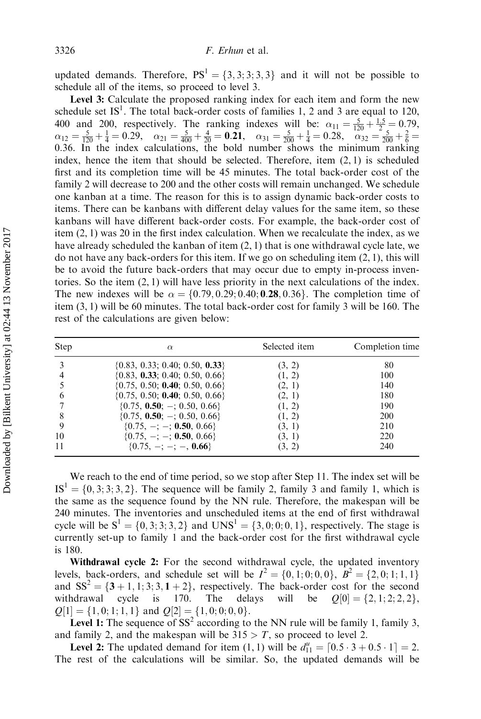updated demands. Therefore,  $PS<sup>1</sup> = \{3, 3; 3; 3, 3\}$  and it will not be possible to schedule all of the items, so proceed to level 3.

Level 3: Calculate the proposed ranking index for each item and form the new schedule set  $IS<sup>1</sup>$ . The total back-order costs of families 1, 2 and 3 are equal to 120, 400 and 200, respectively. The ranking indexes will be:  $\alpha_{11} = \frac{5}{120} + \frac{1.5}{2} = 0.79$ ,  $\alpha_{12} = \frac{5}{120} + \frac{1}{4} = 0.29$ ,  $\alpha_{21} = \frac{5}{400} + \frac{4}{20} = 0.21$ ,  $\alpha_{31} = \frac{5}{200} + \frac{1}{4} = 0.28$ ,  $\alpha_{32} = \frac{5}{200} + \frac{2}{6} =$  $0.36$ . In the index calculations, the bold number shows the minimum ranking index, hence the item that should be selected. Therefore, item (2, 1) is scheduled first and its completion time will be 45 minutes. The total back-order cost of the family 2 will decrease to 200 and the other costs will remain unchanged. We schedule one kanban at a time. The reason for this is to assign dynamic back-order costs to items. There can be kanbans with different delay values for the same item, so these kanbans will have different back-order costs. For example, the back-order cost of item (2, 1) was 20 in the first index calculation. When we recalculate the index, as we have already scheduled the kanban of item (2, 1) that is one withdrawal cycle late, we do not have any back-orders for this item. If we go on scheduling item (2, 1), this will be to avoid the future back-orders that may occur due to empty in-process inventories. So the item (2, 1) will have less priority in the next calculations of the index. The new indexes will be  $\alpha = \{0.79, 0.29, 0.40, 0.28, 0.36\}$ . The completion time of item (3, 1) will be 60 minutes. The total back-order cost for family 3 will be 160. The rest of the calculations are given below:

| Step | $\alpha$                           | Selected item | Completion time |
|------|------------------------------------|---------------|-----------------|
|      | $\{0.83, 0.33, 0.40, 0.50, 0.33\}$ | (3, 2)        | 80              |
|      | $\{0.83, 0.33, 0.40, 0.50, 0.66\}$ | (1, 2)        | 100             |
|      | $\{0.75, 0.50; 0.40; 0.50, 0.66\}$ | (2, 1)        | 140             |
|      | $\{0.75, 0.50, 0.40, 0.50, 0.66\}$ | (2, 1)        | 180             |
|      | $\{0.75, 0.50; -; 0.50, 0.66\}$    | (1, 2)        | 190             |
|      | $\{0.75, 0.50; -; 0.50, 0.66\}$    | (1, 2)        | 200             |
|      | $\{0.75, -; -; 0.50, 0.66\}$       | (3, 1)        | 210             |
| 10   | $\{0.75, -; -; 0.50, 0.66\}$       | (3, 1)        | 220             |
| 11   | $\{0.75, -; -; -; 0.66\}$          | (3, 2)        | 240             |

We reach to the end of time period, so we stop after Step 11. The index set will be  $IS<sup>1</sup> = {0, 3; 3; 3, 2}$ . The sequence will be family 2, family 3 and family 1, which is the same as the sequence found by the NN rule. Therefore, the makespan will be 240 minutes. The inventories and unscheduled items at the end of first withdrawal cycle will be  $S^1 = \{0, 3; 3; 3, 2\}$  and  $UNS^1 = \{3, 0; 0; 0, 1\}$ , respectively. The stage is currently set-up to family 1 and the back-order cost for the first withdrawal cycle is 180.

Withdrawal cycle 2: For the second withdrawal cycle, the updated inventory levels, back-orders, and schedule set will be  $I^2 = \{0, 1; 0; 0, 0\}$ ,  $B^2 = \{2, 0; 1; 1, 1\}$ and  $SS^2 = \{3 + 1, 1; 3; 3, 1 + 2\}$ , respectively. The back-order cost for the second withdrawal cycle is 170. The delays will be  $Q[0] = \{2, 1; 2; 2, 2\}$ ,  $Q[1] = \{1, 0; 1; 1, 1\}$  and  $Q[2] = \{1, 0; 0; 0, 0\}.$ 

Level 1: The sequence of  $SS^2$  according to the NN rule will be family 1, family 3, and family 2, and the makespan will be  $315 > T$ , so proceed to level 2.

**Level 2:** The updated demand for item (1, 1) will be  $d_{11}^u = [0.5 \cdot 3 + 0.5 \cdot 1] = 2$ . The rest of the calculations will be similar. So, the updated demands will be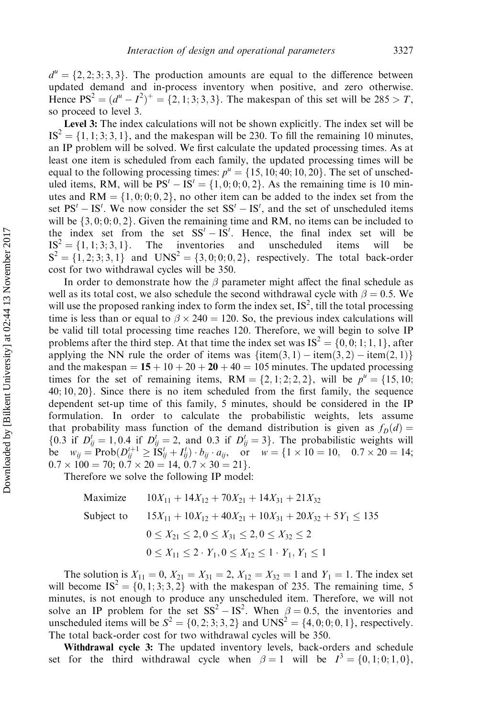$d^{\mu} = \{2, 2; 3; 3, 3\}$ . The production amounts are equal to the difference between updated demand and in-process inventory when positive, and zero otherwise. Hence  $PS^2 = (d^u - I^2)^+ = \{2, 1; 3; 3, 3\}$ . The makespan of this set will be  $285 > T$ , so proceed to level 3.

Level 3: The index calculations will not be shown explicitly. The index set will be  $IS<sup>2</sup> = \{1, 1; 3; 3, 1\}$ , and the makespan will be 230. To fill the remaining 10 minutes, an IP problem will be solved. We first calculate the updated processing times. As at least one item is scheduled from each family, the updated processing times will be equal to the following processing times:  $p^u = \{15, 10; 40; 10, 20\}$ . The set of unscheduled items, RM, will be  $PS<sup>t</sup> - IS<sup>t</sup> = \{1,0,0,0,2\}$ . As the remaining time is 10 minutes and  $RM = \{1, 0, 0, 0, 2\}$ , no other item can be added to the index set from the set  $PS<sup>t</sup> - IS<sup>t</sup>$ . We now consider the set SS<sup>t</sup> - IS<sup>t</sup>, and the set of unscheduled items will be  $\{3, 0; 0; 0; 2\}$ . Given the remaining time and RM, no items can be included to the index set from the set  $SS' - IS'$ . Hence, the final index set will be  $IS^2 = \{1, 1; 3; 3, 1\}.$  The inventories and unscheduled items will be  $S^2 = \{1, 2; 3; 3, 1\}$  and  $UNS^2 = \{3, 0; 0; 0, 2\}$ , respectively. The total back-order cost for two withdrawal cycles will be 350.

In order to demonstrate how the  $\beta$  parameter might affect the final schedule as well as its total cost, we also schedule the second withdrawal cycle with  $\beta = 0.5$ . We will use the proposed ranking index to form the index set,  $IS^2$ , till the total processing time is less than or equal to  $\beta \times 240 = 120$ . So, the previous index calculations will be valid till total processing time reaches 120. Therefore, we will begin to solve IP problems after the third step. At that time the index set was  $IS^2 = \{0, 0; 1; 1, 1\}$ , after applying the NN rule the order of items was  $\{item(3, 1) - item(3, 2) - item(2, 1)\}$ and the makespan =  $15 + 10 + 20 + 20 + 40 = 105$  minutes. The updated processing times for the set of remaining items,  $RM = \{2, 1; 2; 2, 2\}$ , will be  $p^u = \{15, 10;$  $40; 10, 20$ . Since there is no item scheduled from the first family, the sequence dependent set-up time of this family, 5 minutes, should be considered in the IP formulation. In order to calculate the probabilistic weights, lets assume that probability mass function of the demand distribution is given as  $f_D(d)$  = {0.3 if  $D_{ij}^t = 1, 0.4$  if  $D_{ij}^t = 2$ , and 0.3 if  $D_{ij}^t = 3$ }. The probabilistic weights will be  $w_{ij} = \text{Prob}(D_{ij}^{t+1} \ge \mathbf{IS}_{ij}^t + I_{ij}^t) \cdot b_{ij} \cdot a_{ij}$ , or  $w = \{1 \times 10 = 10, 0.7 \times 20 = 14;$  $0.7 \times 100 = 70$ ;  $0.7 \times 20 = 14$ ,  $0.7 \times 30 = 21$ .

Therefore we solve the following IP model:

Maximize 
$$
10X_{11} + 14X_{12} + 70X_{21} + 14X_{31} + 21X_{32}
$$
  
\nSubject to  $15X_{11} + 10X_{12} + 40X_{21} + 10X_{31} + 20X_{32} + 5Y_1 \le 135$   
\n $0 \le X_{21} \le 2, 0 \le X_{31} \le 2, 0 \le X_{32} \le 2$   
\n $0 \le X_{11} \le 2 \cdot Y_1, 0 \le X_{12} \le 1 \cdot Y_1, Y_1 \le 1$ 

The solution is  $X_{11} = 0$ ,  $X_{21} = X_{31} = 2$ ,  $X_{12} = X_{32} = 1$  and  $Y_1 = 1$ . The index set will become  $IS^2 = \{0, 1; 3; 3, 2\}$  with the makespan of 235. The remaining time, 5 minutes, is not enough to produce any unscheduled item. Therefore, we will not solve an IP problem for the set  $SS^2 - IS^2$ . When  $\beta = 0.5$ , the inventories and unscheduled items will be  $S^2 = \{0, 2; 3; 3, 2\}$  and  $UNS^2 = \{4, 0; 0; 0, 1\}$ , respectively. The total back-order cost for two withdrawal cycles will be 350.

Withdrawal cycle 3: The updated inventory levels, back-orders and schedule set for the third withdrawal cycle when  $\beta = 1$  will be  $I^3 = \{0, 1; 0; 1; 0\}$ ,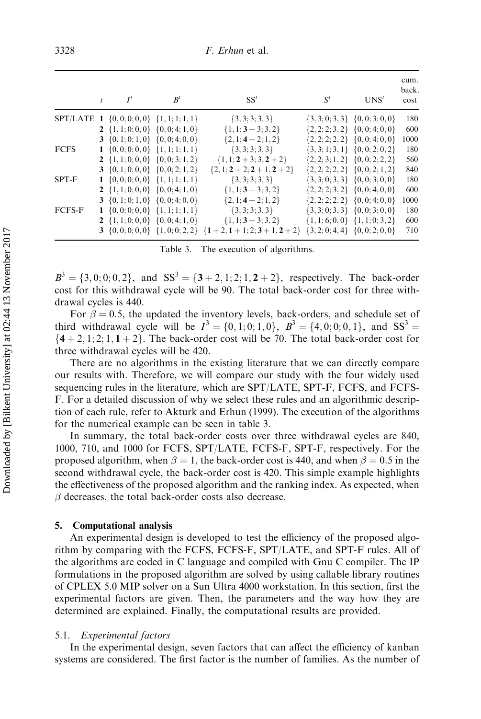3328 F. Erhun et al.

|             | $\mathfrak{t}$ | $I^t$                                      | $B^t$ | SS <sup>t</sup>                                                                           | $S^t$ | $\mathbf{U}\mathbf{N}\mathbf{S}^t$      | cum.<br>back.<br>cost |
|-------------|----------------|--------------------------------------------|-------|-------------------------------------------------------------------------------------------|-------|-----------------------------------------|-----------------------|
|             |                | SPT/LATE 1 $\{0,0;0;0,0\}$ $\{1,1;1;1,1\}$ |       | $\{3, 3, 3, 3, 3\}$                                                                       |       | $\{3,3;0;3,3\}$ $\{0,0;3;0,0\}$         | 180                   |
|             |                | 2 $\{1, 1; 0; 0, 0\}$ $\{0, 0; 4; 1, 0\}$  |       | $\{1, 1; 3 + 3; 3, 2\}$                                                                   |       | $\{2, 2, 2, 3, 2\}$ $\{0, 0, 4, 0, 0\}$ | 600                   |
|             |                | 3 {0, 1; 0; 1, 0} {0, 0; 4; 0, 0}          |       | ${2, 1; 4 + 2; 1, 2}$                                                                     |       | $\{2, 2, 2, 2, 2\}$ $\{0, 0, 4, 0, 0\}$ | 1000                  |
| <b>FCFS</b> |                | 1 $\{0,0;0;0,0\}$ $\{1,1;1;1,1\}$          |       | $\{3,3;3;3,3\}$                                                                           |       | $\{3,3;1;3,1\}$ $\{0,0;2;0,2\}$         | 180                   |
|             |                | 2 $\{1, 1; 0; 0, 0\}$ $\{0, 0; 3; 1, 2\}$  |       | $\{1, 1; 2 + 3; 3, 2 + 2\}$                                                               |       | $\{2, 2, 3, 1, 2\}$ $\{0, 0, 2, 2, 2\}$ | 560                   |
|             |                | 3 $\{0, 1, 0, 0, 0\}$ $\{0, 0, 2, 1, 2\}$  |       | ${2, 1; 2 + 2; 2 + 1, 2 + 2}$                                                             |       | $\{2, 2; 2; 2, 2\}$ $\{0, 0; 2; 1, 2\}$ | 840                   |
| SPT-F       |                | 1 $\{0,0;0;0,0\}$ $\{1,1;1;1,1\}$          |       | $\{3, 3, 3, 3, 3\}$                                                                       |       | $\{3, 3; 0; 3, 3\}$ $\{0, 0; 3; 0, 0\}$ | 180                   |
|             |                | 2 $\{1, 1; 0; 0, 0\}$ $\{0, 0; 4; 1, 0\}$  |       | $\{1, 1; 3 + 3; 3, 2\}$                                                                   |       | $\{2, 2, 2, 3, 2\}$ $\{0, 0, 4, 0, 0\}$ | 600                   |
|             |                | 3 {0, 1; 0; 1, 0} {0, 0; 4; 0, 0}          |       | ${2, 1; 4 + 2; 1, 2}$                                                                     |       | $\{2, 2, 2, 2, 2\}$ $\{0, 0, 4, 0, 0\}$ | 1000                  |
| FCFS-F      |                | 1 $\{0,0;0;0,0\}$ $\{1,1;1;1,1\}$          |       | $\{3,3;3;3,3\}$                                                                           |       | $\{3, 3; 0; 3, 3\}$ $\{0, 0; 3; 0, 0\}$ | 180                   |
|             |                | 2 $\{1, 1; 0; 0, 0\}$ $\{0, 0; 4; 1, 0\}$  |       | $\{1, 1; 3 + 3; 3, 2\}$                                                                   |       | $\{1, 1; 6; 0, 0\}$ $\{1, 1; 0; 3, 2\}$ | 600                   |
|             |                |                                            |       | 3 $\{0,0;0;0,0\}$ $\{1,0;0;2,2\}$ $\{1+2,1+1;2;3+1,2+2\}$ $\{3,2;0;4,4\}$ $\{0,0;2;0,0\}$ |       |                                         | 710                   |

Table 3. The execution of algorithms.

 $B^{3} = \{3, 0; 0; 0, 2\}$ , and  $SS^{3} = \{3 + 2, 1; 2; 1, 2 + 2\}$ , respectively. The back-order cost for this withdrawal cycle will be 90. The total back-order cost for three withdrawal cycles is 440.

For  $\beta = 0.5$ , the updated the inventory levels, back-orders, and schedule set of third withdrawal cycle will be  $I^3 = \{0, 1; 0; 1, 0\}$ ,  $B^3 = \{4, 0; 0; 0, 1\}$ , and  $SS^3 =$  ${4 + 2, 1; 2; 1, 1 + 2}$ . The back-order cost will be 70. The total back-order cost for three withdrawal cycles will be 420.

There are no algorithms in the existing literature that we can directly compare our results with. Therefore, we will compare our study with the four widely used sequencing rules in the literature, which are SPT/LATE, SPT-F, FCFS, and FCFS-F. For a detailed discussion of why we select these rules and an algorithmic description of each rule, refer to Akturk and Erhun (1999). The execution of the algorithms for the numerical example can be seen in table 3.

In summary, the total back-order costs over three withdrawal cycles are 840, 1000, 710, and 1000 for FCFS, SPT/LATE, FCFS-F, SPT-F, respectively. For the proposed algorithm, when  $\beta = 1$ , the back-order cost is 440, and when  $\beta = 0.5$  in the second withdrawal cycle, the back-order cost is 420. This simple example highlights the effectiveness of the proposed algorithm and the ranking index. As expected, when  $\beta$  decreases, the total back-order costs also decrease.

#### 5. Computational analysis

An experimental design is developed to test the efficiency of the proposed algorithm by comparing with the FCFS, FCFS-F, SPT/LATE, and SPT-F rules. All of the algorithms are coded in C language and compiled with Gnu C compiler. The IP formulations in the proposed algorithm are solved by using callable library routines of CPLEX 5.0 MIP solver on a Sun Ultra 4000 workstation. In this section, first the experimental factors are given. Then, the parameters and the way how they are determined are explained. Finally, the computational results are provided.

#### 5.1. Experimental factors

In the experimental design, seven factors that can affect the efficiency of kanban systems are considered. The first factor is the number of families. As the number of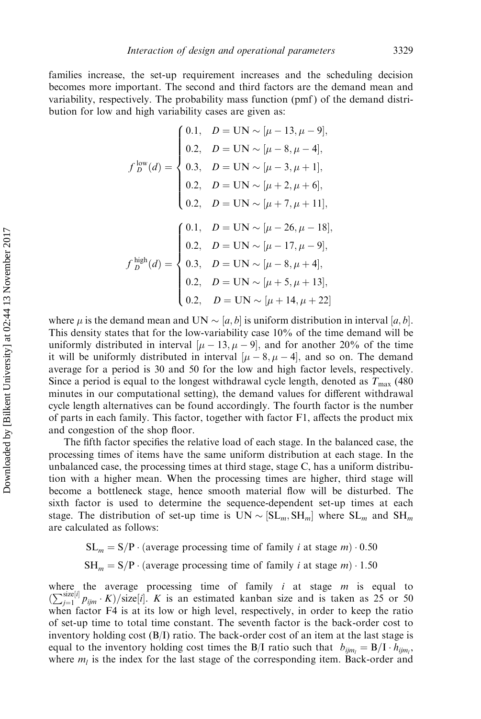families increase, the set-up requirement increases and the scheduling decision becomes more important. The second and third factors are the demand mean and variability, respectively. The probability mass function (pmf ) of the demand distribution for low and high variability cases are given as:

$$
f_{D}^{\text{low}}(d) = \begin{cases} 0.1, & D = \text{UN} \sim [\mu - 13, \mu - 9], \\ 0.2, & D = \text{UN} \sim [\mu - 8, \mu - 4], \\ 0.3, & D = \text{UN} \sim [\mu - 3, \mu + 1], \\ 0.2, & D = \text{UN} \sim [\mu + 2, \mu + 6], \\ 0.2, & D = \text{UN} \sim [\mu + 7, \mu + 11], \end{cases}
$$

$$
f_{D}^{\text{high}}(d) = \begin{cases} 0.1, & D = \text{UN} \sim [\mu - 26, \mu - 18], \\ 0.2, & D = \text{UN} \sim [\mu - 17, \mu - 9], \\ 0.3, & D = \text{UN} \sim [\mu - 8, \mu + 4], \\ 0.2, & D = \text{UN} \sim [\mu + 5, \mu + 13], \\ 0.2, & D = \text{UN} \sim [\mu + 14, \mu + 22] \end{cases}
$$

where  $\mu$  is the demand mean and UN  $\sim [a, b]$  is uniform distribution in interval  $[a, b]$ . This density states that for the low-variability case 10% of the time demand will be uniformly distributed in interval  $[\mu - 13, \mu - 9]$ , and for another 20% of the time it will be uniformly distributed in interval  $\mu - 8, \mu - 4$ , and so on. The demand average for a period is 30 and 50 for the low and high factor levels, respectively. Since a period is equal to the longest withdrawal cycle length, denoted as  $T_{\text{max}}$  (480) minutes in our computational setting), the demand values for different withdrawal cycle length alternatives can be found accordingly. The fourth factor is the number of parts in each family. This factor, together with factor F1, affects the product mix and congestion of the shop floor.

The fifth factor specifies the relative load of each stage. In the balanced case, the processing times of items have the same uniform distribution at each stage. In the unbalanced case, the processing times at third stage, stage C, has a uniform distribution with a higher mean. When the processing times are higher, third stage will become a bottleneck stage, hence smooth material flow will be disturbed. The sixth factor is used to determine the sequence-dependent set-up times at each stage. The distribution of set-up time is  $UN \sim [SL_m, SH_m]$  where  $SL_m$  and  $SH_m$ are calculated as follows:

 $SL_m = S/P \cdot (average processing time of family *i* at stage *m*) \cdot 0.50$ 

$$
SH_m = S/P \cdot (average processing time of family i at stage m) \cdot 1.50
$$

where the average processing time of family  $i$  at stage  $m$  is equal to where the average processing time of family *i* at stage *m* is equal to  $\left(\sum_{j=1}^{size[i]} p_{ijm} \cdot K\right)$ /size[*i*]. *K* is an estimated kanban size and is taken as 25 or 50 when factor F4 is at its low or high level, respectively, in order to keep the ratio of set-up time to total time constant. The seventh factor is the back-order cost to inventory holding cost  $(B/I)$  ratio. The back-order cost of an item at the last stage is equal to the inventory holding cost times the B/I ratio such that  $b_{ijm_l} = B/I \cdot h_{ijm_l}$ , where  $m_l$  is the index for the last stage of the corresponding item. Back-order and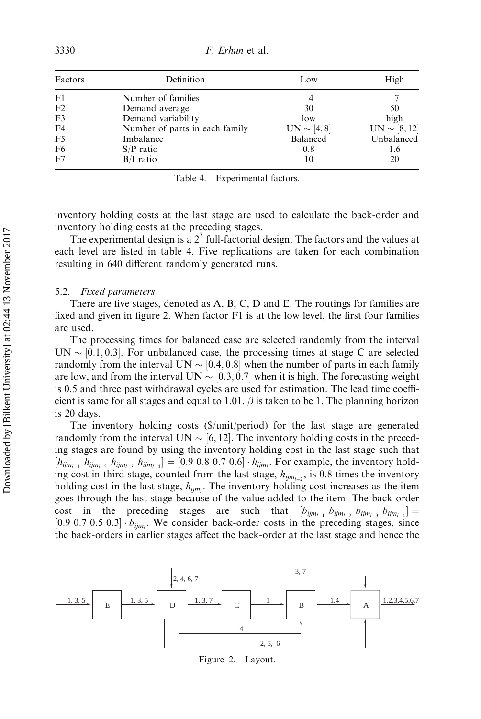3330 F. Erhun et al.

| Factors<br>Definition |                                | Low              | High              |
|-----------------------|--------------------------------|------------------|-------------------|
| F <sub>1</sub>        | Number of families             | 4                |                   |
| F <sub>2</sub>        | Demand average                 | 30               | 50                |
| F <sub>3</sub>        | Demand variability             | low              | high              |
| F <sub>4</sub>        | Number of parts in each family | UN $\sim$ [4, 8] | $UN \sim [8, 12]$ |
| F <sub>5</sub>        | Imbalance                      | Balanced         | Unbalanced        |
| F <sub>6</sub>        | $S/P$ ratio                    | 0.8              | 1.6               |
| F7                    | $B/I$ ratio                    | 10               | 20                |

Table 4. Experimental factors.

inventory holding costs at the last stage are used to calculate the back-order and inventory holding costs at the preceding stages.

The experimental design is a  $2<sup>7</sup>$  full-factorial design. The factors and the values at each level are listed in table 4. Five replications are taken for each combination resulting in 640 different randomly generated runs.

## 5.2. Fixed parameters

There are five stages, denoted as A, B, C, D and E. The routings for families are fixed and given in figure 2. When factor F1 is at the low level, the first four families are used.

The processing times for balanced case are selected randomly from the interval UN  $\sim$  [0.1, 0.3]. For unbalanced case, the processing times at stage C are selected randomly from the interval UN  $\sim$  [0.4, 0.8] when the number of parts in each family are low, and from the interval UN  $\sim$  [0.3, 0.7] when it is high. The forecasting weight is 0.5 and three past withdrawal cycles are used for estimation. The lead time coefficient is same for all stages and equal to 1.01.  $\beta$  is taken to be 1. The planning horizon is 20 days.

The inventory holding costs (\$/unit/period) for the last stage are generated randomly from the interval UN  $\sim$  [6, 12]. The inventory holding costs in the preceding stages are found by using the inventory holding cost in the last stage such that  $[h_{ijm_{l-1}}\;h_{ijm_{l-2}}\;h_{ijm_{l-3}}\;h_{ijm_{l-4}}] = [0.9\;0.8\;0.7\;0.6]\cdot h_{ijm_l}$ . For example, the inventory holding cost in third stage, counted from the last stage,  $h_{ijm}$ , is 0.8 times the inventory holding cost in the last stage,  $h_{ijm_l}$ . The inventory holding cost increases as the item goes through the last stage because of the value added to the item. The back-order cost in the preceding stages are such that  $[b_{ijm_{l-1}}\ b_{ijm_{l-2}}\ b_{ijm_{l-3}}\ b_{ijm_{l-4}}] =$  $[0.9 \ 0.7 \ 0.5 \ 0.3] \cdot b_{ijm_l}$ . We consider back-order costs in the preceding stages, since the back-orders in earlier stages affect the back-order at the last stage and hence the



Figure 2. Layout.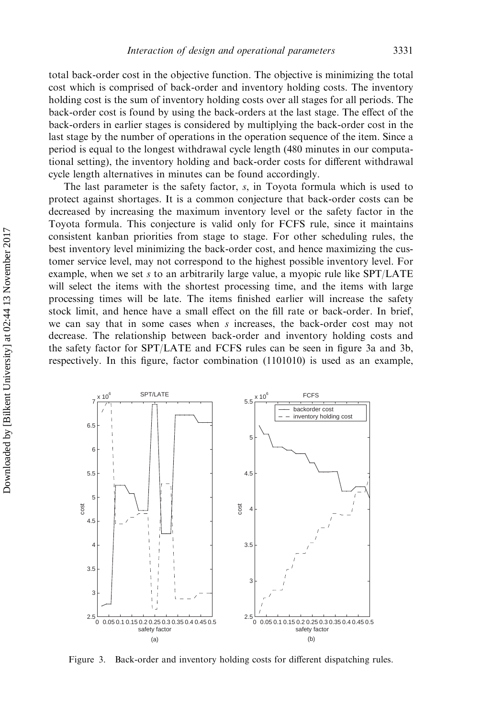total back-order cost in the objective function. The objective is minimizing the total cost which is comprised of back-order and inventory holding costs. The inventory holding cost is the sum of inventory holding costs over all stages for all periods. The back-order cost is found by using the back-orders at the last stage. The effect of the back-orders in earlier stages is considered by multiplying the back-order cost in the last stage by the number of operations in the operation sequence of the item. Since a period is equal to the longest withdrawal cycle length (480 minutes in our computational setting), the inventory holding and back-order costs for different withdrawal cycle length alternatives in minutes can be found accordingly.

The last parameter is the safety factor, s, in Toyota formula which is used to protect against shortages. It is a common conjecture that back-order costs can be decreased by increasing the maximum inventory level or the safety factor in the Toyota formula. This conjecture is valid only for FCFS rule, since it maintains consistent kanban priorities from stage to stage. For other scheduling rules, the best inventory level minimizing the back-order cost, and hence maximizing the customer service level, may not correspond to the highest possible inventory level. For example, when we set s to an arbitrarily large value, a myopic rule like  $SPT/LATE$ will select the items with the shortest processing time, and the items with large processing times will be late. The items finished earlier will increase the safety stock limit, and hence have a small effect on the fill rate or back-order. In brief, we can say that in some cases when s increases, the back-order cost may not decrease. The relationship between back-order and inventory holding costs and the safety factor for SPT/LATE and FCFS rules can be seen in figure 3a and 3b, respectively. In this figure, factor combination (1101010) is used as an example,



Figure 3. Back-order and inventory holding costs for different dispatching rules.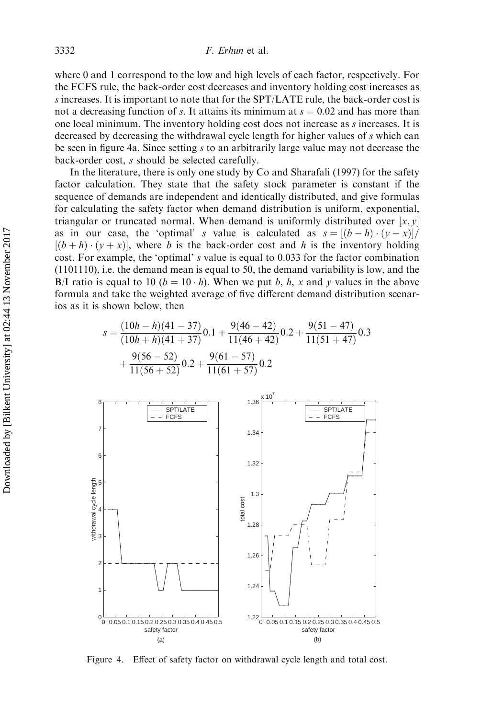where 0 and 1 correspond to the low and high levels of each factor, respectively. For the FCFS rule, the back-order cost decreases and inventory holding cost increases as s increases. It is important to note that for the  $SPT/LATE$  rule, the back-order cost is not a decreasing function of s. It attains its minimum at  $s = 0.02$  and has more than one local minimum. The inventory holding cost does not increase as s increases. It is decreased by decreasing the withdrawal cycle length for higher values of s which can be seen in figure 4a. Since setting s to an arbitrarily large value may not decrease the back-order cost, s should be selected carefully.

In the literature, there is only one study by Co and Sharafali (1997) for the safety factor calculation. They state that the safety stock parameter is constant if the sequence of demands are independent and identically distributed, and give formulas for calculating the safety factor when demand distribution is uniform, exponential, triangular or truncated normal. When demand is uniformly distributed over  $[x, y]$ as in our case, the 'optimal' s value is calculated as  $s = [(b - h) \cdot (y - x)]/$  $[(b+h)\cdot (y+x)]$ , where b is the back-order cost and h is the inventory holding cost. For example, the 'optimal' s value is equal to 0.033 for the factor combination (1101110), i.e. the demand mean is equal to 50, the demand variability is low, and the B/I ratio is equal to 10 ( $b = 10 \cdot h$ ). When we put b, h, x and y values in the above formula and take the weighted average of five different demand distribution scenarios as it is shown below, then

$$
s = \frac{(10h - h)(41 - 37)}{(10h + h)(41 + 37)} 0.1 + \frac{9(46 - 42)}{11(46 + 42)} 0.2 + \frac{9(51 - 47)}{11(51 + 47)} 0.3 + \frac{9(56 - 52)}{11(56 + 52)} 0.2 + \frac{9(61 - 57)}{11(61 + 57)} 0.2
$$



Figure 4. Effect of safety factor on withdrawal cycle length and total cost.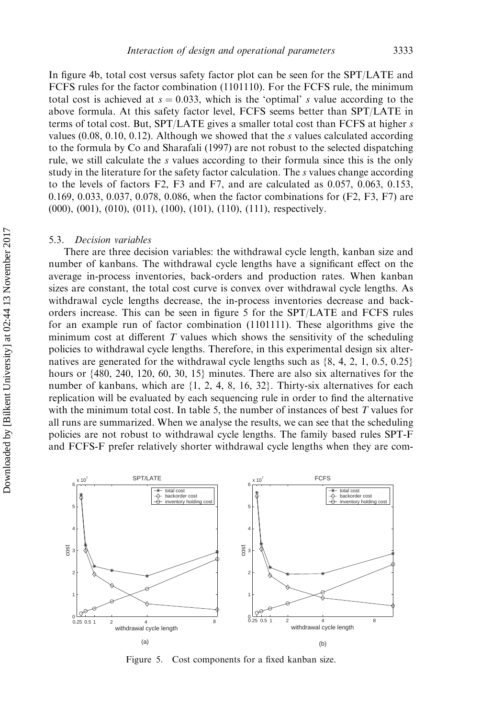In figure 4b, total cost versus safety factor plot can be seen for the SPT/LATE and FCFS rules for the factor combination (1101110). For the FCFS rule, the minimum total cost is achieved at  $s = 0.033$ , which is the 'optimal' s value according to the above formula. At this safety factor level, FCFS seems better than SPT/LATE in terms of total cost. But, SPT/LATE gives a smaller total cost than FCFS at higher  $s$ values  $(0.08, 0.10, 0.12)$ . Although we showed that the s values calculated according to the formula by Co and Sharafali (1997) are not robust to the selected dispatching rule, we still calculate the s values according to their formula since this is the only study in the literature for the safety factor calculation. The s values change according to the levels of factors F2, F3 and F7, and are calculated as 0.057, 0.063, 0.153, 0.169, 0.033, 0.037, 0.078, 0.086, when the factor combinations for (F2, F3, F7) are (000), (001), (010), (011), (100), (101), (110), (111), respectively.

## 5.3. Decision variables

There are three decision variables: the withdrawal cycle length, kanban size and number of kanbans. The withdrawal cycle lengths have a significant effect on the average in-process inventories, back-orders and production rates. When kanban sizes are constant, the total cost curve is convex over withdrawal cycle lengths. As withdrawal cycle lengths decrease, the in-process inventories decrease and backorders increase. This can be seen in figure 5 for the SPT/LATE and FCFS rules for an example run of factor combination (1101111). These algorithms give the minimum cost at different  $T$  values which shows the sensitivity of the scheduling policies to withdrawal cycle lengths. Therefore, in this experimental design six alternatives are generated for the withdrawal cycle lengths such as  $\{8, 4, 2, 1, 0.5, 0.25\}$ hours or  $\{480, 240, 120, 60, 30, 15\}$  minutes. There are also six alternatives for the number of kanbans, which are  $\{1, 2, 4, 8, 16, 32\}$ . Thirty-six alternatives for each replication will be evaluated by each sequencing rule in order to find the alternative with the minimum total cost. In table 5, the number of instances of best  $T$  values for all runs are summarized. When we analyse the results, we can see that the scheduling policies are not robust to withdrawal cycle lengths. The family based rules SPT-F and FCFS-F prefer relatively shorter withdrawal cycle lengths when they are com-



Figure 5. Cost components for a fixed kanban size.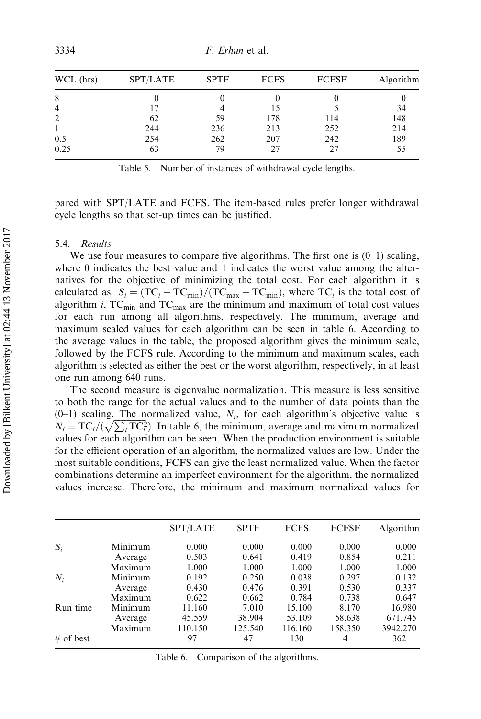| WCL (hrs)      | SPT/LATE | <b>SPTF</b> | <b>FCFS</b> | <b>FCFSF</b> | Algorithm |
|----------------|----------|-------------|-------------|--------------|-----------|
| 8              |          |             |             |              |           |
| 4              |          |             | 15          |              | 34        |
| $\overline{2}$ | 62       | 59          | 178         | 114          | 148       |
|                | 244      | 236         | 213         | 252          | 214       |
| 0.5            | 254      | 262         | 207         | 242          | 189       |
| 0.25           | 63       | 79          |             |              | 55        |

Table 5. Number of instances of withdrawal cycle lengths.

pared with SPT/LATE and FCFS. The item-based rules prefer longer withdrawal cycle lengths so that set-up times can be justified.

#### 5.4. Results

We use four measures to compare five algorithms. The first one is  $(0-1)$  scaling, where 0 indicates the best value and 1 indicates the worst value among the alternatives for the objective of minimizing the total cost. For each algorithm it is calculated as  $S_i = (TC_i - TC_{min})/(TC_{max} - TC_{min})$ , where  $TC_i$  is the total cost of algorithm *i*,  $TC_{min}$  and  $TC_{max}$  are the minimum and maximum of total cost values for each run among all algorithms, respectively. The minimum, average and maximum scaled values for each algorithm can be seen in table 6. According to the average values in the table, the proposed algorithm gives the minimum scale, followed by the FCFS rule. According to the minimum and maximum scales, each algorithm is selected as either the best or the worst algorithm, respectively, in at least one run among 640 runs.

The second measure is eigenvalue normalization. This measure is less sensitive to both the range for the actual values and to the number of data points than the  $(0-1)$  scaling. The normalized value,  $N_i$ , for each algorithm's objective value is  $N_i = TC_i/(\sqrt{\sum_i TC_i^2})$ . In table 6, the minimum, average and maximum normalized values for each algorithm can be seen. When the production environment is suitable for the efficient operation of an algorithm, the normalized values are low. Under the most suitable conditions, FCFS can give the least normalized value. When the factor combinations determine an imperfect environment for the algorithm, the normalized values increase. Therefore, the minimum and maximum normalized values for

|              |         | SPT/LATE | <b>SPTF</b> | <b>FCFS</b> | <b>FCFSF</b> | Algorithm |
|--------------|---------|----------|-------------|-------------|--------------|-----------|
| $S_i$        | Minimum | 0.000    | 0.000       | 0.000       | 0.000        | 0.000     |
|              | Average | 0.503    | 0.641       | 0.419       | 0.854        | 0.211     |
|              | Maximum | 1.000    | 1.000       | 1.000       | 1.000        | 1.000     |
| $N_i$        | Minimum | 0.192    | 0.250       | 0.038       | 0.297        | 0.132     |
|              | Average | 0.430    | 0.476       | 0.391       | 0.530        | 0.337     |
|              | Maximum | 0.622    | 0.662       | 0.784       | 0.738        | 0.647     |
| Run time     | Minimum | 11.160   | 7.010       | 15.100      | 8.170        | 16.980    |
|              | Average | 45.559   | 38.904      | 53.109      | 58.638       | 671.745   |
|              | Maximum | 110.150  | 125.540     | 116.160     | 158.350      | 3942.270  |
| $\#$ of best |         | 97       | 47          | 130         | 4            | 362       |

Table 6. Comparison of the algorithms.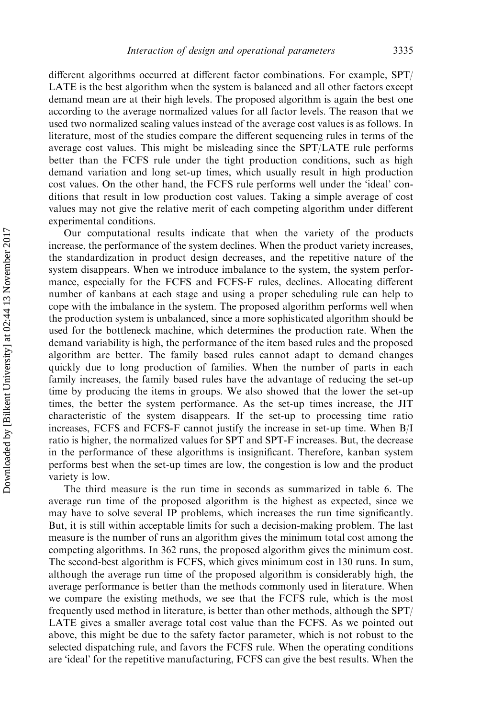different algorithms occurred at different factor combinations. For example, SPT/ LATE is the best algorithm when the system is balanced and all other factors except demand mean are at their high levels. The proposed algorithm is again the best one according to the average normalized values for all factor levels. The reason that we used two normalized scaling values instead of the average cost values is as follows. In literature, most of the studies compare the different sequencing rules in terms of the average cost values. This might be misleading since the SPT/LATE rule performs better than the FCFS rule under the tight production conditions, such as high demand variation and long set-up times, which usually result in high production cost values. On the other hand, the FCFS rule performs well under the 'ideal' conditions that result in low production cost values. Taking a simple average of cost values may not give the relative merit of each competing algorithm under different experimental conditions.

Our computational results indicate that when the variety of the products increase, the performance of the system declines. When the product variety increases, the standardization in product design decreases, and the repetitive nature of the system disappears. When we introduce imbalance to the system, the system performance, especially for the FCFS and FCFS-F rules, declines. Allocating different number of kanbans at each stage and using a proper scheduling rule can help to cope with the imbalance in the system. The proposed algorithm performs well when the production system is unbalanced, since a more sophisticated algorithm should be used for the bottleneck machine, which determines the production rate. When the demand variability is high, the performance of the item based rules and the proposed algorithm are better. The family based rules cannot adapt to demand changes quickly due to long production of families. When the number of parts in each family increases, the family based rules have the advantage of reducing the set-up time by producing the items in groups. We also showed that the lower the set-up times, the better the system performance. As the set-up times increase, the JIT characteristic of the system disappears. If the set-up to processing time ratio increases, FCFS and FCFS-F cannot justify the increase in set-up time. When B/I ratio is higher, the normalized values for SPT and SPT-F increases. But, the decrease in the performance of these algorithms is insignificant. Therefore, kanban system performs best when the set-up times are low, the congestion is low and the product variety is low.

The third measure is the run time in seconds as summarized in table 6. The average run time of the proposed algorithm is the highest as expected, since we may have to solve several IP problems, which increases the run time significantly. But, it is still within acceptable limits for such a decision-making problem. The last measure is the number of runs an algorithm gives the minimum total cost among the competing algorithms. In 362 runs, the proposed algorithm gives the minimum cost. The second-best algorithm is FCFS, which gives minimum cost in 130 runs. In sum, although the average run time of the proposed algorithm is considerably high, the average performance is better than the methods commonly used in literature. When we compare the existing methods, we see that the FCFS rule, which is the most frequently used method in literature, is better than other methods, although the SPT/ LATE gives a smaller average total cost value than the FCFS. As we pointed out above, this might be due to the safety factor parameter, which is not robust to the selected dispatching rule, and favors the FCFS rule. When the operating conditions are 'ideal' for the repetitive manufacturing, FCFS can give the best results. When the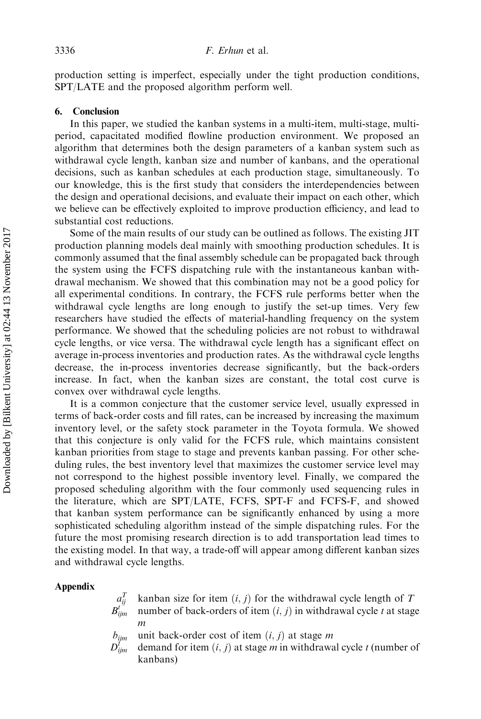production setting is imperfect, especially under the tight production conditions, SPT/LATE and the proposed algorithm perform well.

#### 6. Conclusion

In this paper, we studied the kanban systems in a multi-item, multi-stage, multiperiod, capacitated modified flowline production environment. We proposed an algorithm that determines both the design parameters of a kanban system such as withdrawal cycle length, kanban size and number of kanbans, and the operational decisions, such as kanban schedules at each production stage, simultaneously. To our knowledge, this is the first study that considers the interdependencies between the design and operational decisions, and evaluate their impact on each other, which we believe can be effectively exploited to improve production efficiency, and lead to substantial cost reductions.

Some of the main results of our study can be outlined as follows. The existing JIT production planning models deal mainly with smoothing production schedules. It is commonly assumed that the final assembly schedule can be propagated back through the system using the FCFS dispatching rule with the instantaneous kanban withdrawal mechanism. We showed that this combination may not be a good policy for all experimental conditions. In contrary, the FCFS rule performs better when the withdrawal cycle lengths are long enough to justify the set-up times. Very few researchers have studied the effects of material-handling frequency on the system performance. We showed that the scheduling policies are not robust to withdrawal cycle lengths, or vice versa. The withdrawal cycle length has a significant effect on average in-process inventories and production rates. As the withdrawal cycle lengths decrease, the in-process inventories decrease significantly, but the back-orders increase. In fact, when the kanban sizes are constant, the total cost curve is convex over withdrawal cycle lengths.

It is a common conjecture that the customer service level, usually expressed in terms of back-order costs and fill rates, can be increased by increasing the maximum inventory level, or the safety stock parameter in the Toyota formula. We showed that this conjecture is only valid for the FCFS rule, which maintains consistent kanban priorities from stage to stage and prevents kanban passing. For other scheduling rules, the best inventory level that maximizes the customer service level may not correspond to the highest possible inventory level. Finally, we compared the proposed scheduling algorithm with the four commonly used sequencing rules in the literature, which are SPT/LATE, FCFS, SPT-F and FCFS-F, and showed that kanban system performance can be significantly enhanced by using a more sophisticated scheduling algorithm instead of the simple dispatching rules. For the future the most promising research direction is to add transportation lead times to the existing model. In that way, a trade-off will appear among different kanban sizes and withdrawal cycle lengths.

## Appendix

- $a_{ii}^T$ kanban size for item  $(i, j)$  for the withdrawal cycle length of T  $B^t_{ijm}$ number of back-orders of item  $(i, j)$  in withdrawal cycle t at stage
- 

m

- $b_{ijm}$  unit back-order cost of item  $(i, j)$  at stage m
- $D^t_{lim}$ demand for item  $(i, j)$  at stage m in withdrawal cycle t (number of kanbans)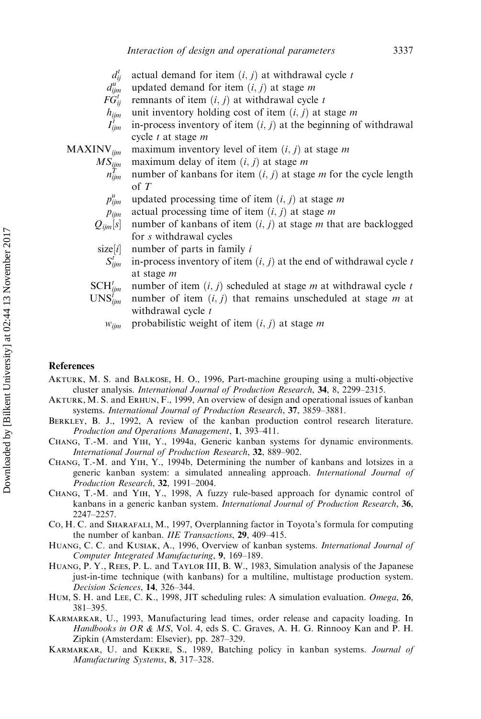- $d_{ii}^t$ actual demand for item  $(i, j)$  at withdrawal cycle t
- $d_{\text{lim}}^u$ updated demand for item  $(i, j)$  at stage m
- $F\check{G}^t_{ii}$ remnants of item  $(i, j)$  at withdrawal cycle t
- $h_{ijm}$  unit inventory holding cost of item  $(i, j)$  at stage m
- $I_{lim}^t$ in-process inventory of item  $(i, j)$  at the beginning of withdrawal cycle t at stage m
- 
- MAXINV<sub>ijm</sub> maximum inventory level of item  $(i, j)$  at stage *m*  $MS_{ijm}$  maximum delay of item  $(i, j)$  at stage *m* maximum delay of item  $(i, j)$  at stage m
	- $n_{\text{lim}}^T$ number of kanbans for item  $(i, j)$  at stage m for the cycle length of T
	- $p_{\text{lim}}^u$ updated processing time of item  $(i, j)$  at stage m
	- $p_{\text{lim}}$  actual processing time of item  $(i, j)$  at stage m
	- $Q_{ijm}[s]$  number of kanbans of item  $(i, j)$  at stage m that are backlogged for s withdrawal cycles
	- size $[i]$  number of parts in family i
		- $S^t_{ijm}$ in-process inventory of item  $(i, j)$  at the end of withdrawal cycle t at stage m
	- $\mathrm{SCH}_{ijm}^t$ number of item  $(i, j)$  scheduled at stage m at withdrawal cycle t
	- $\text{UNS}_{\text{lim}}^i$ number of item  $(i, j)$  that remains unscheduled at stage m at withdrawal cycle t
		- $w_{ijm}$  probabilistic weight of item  $(i, j)$  at stage m

## References

- Akturk, M. S. and Balkose, H. O., 1996, Part-machine grouping using a multi-objective cluster analysis. International Journal of Production Research, 34, 8, 2299–2315.
- Akturk, M. S. and Erhun, F., 1999, An overview of design and operational issues of kanban systems. International Journal of Production Research, 37, 3859–3881.
- Berkley, B. J., 1992, A review of the kanban production control research literature. Production and Operations Management, 1, 393–411.
- Chang, T.-M. and Yih, Y., 1994a, Generic kanban systems for dynamic environments. International Journal of Production Research, 32, 889–902.
- Chang, T.-M. and Yih, Y., 1994b, Determining the number of kanbans and lotsizes in a generic kanban system: a simulated annealing approach. International Journal of Production Research, 32, 1991–2004.
- Chang, T.-M. and Yih, Y., 1998, A fuzzy rule-based approach for dynamic control of kanbans in a generic kanban system. International Journal of Production Research, 36, 2247–2257.
- Co, H. C. and Sharafali, M., 1997, Overplanning factor in Toyota's formula for computing the number of kanban. IIE Transactions, 29, 409–415.
- HUANG, C. C. and KUSIAK, A., 1996, Overview of kanban systems. *International Journal of* Computer Integrated Manufacturing, 9, 169–189.
- Huang, P. Y., Rees, P. L. and Taylor III, B. W., 1983, Simulation analysis of the Japanese just-in-time technique (with kanbans) for a multiline, multistage production system. Decision Sciences, 14, 326–344.
- Hum, S. H. and Lee, C. K., 1998, JIT scheduling rules: A simulation evaluation. Omega, 26, 381–395.
- Karmarkar, U., 1993, Manufacturing lead times, order release and capacity loading. In Handbooks in OR & MS, Vol. 4, eds S. C. Graves, A. H. G. Rinnooy Kan and P. H. Zipkin (Amsterdam: Elsevier), pp. 287–329.
- KARMARKAR, U. and KEKRE, S., 1989, Batching policy in kanban systems. Journal of Manufacturing Systems, 8, 317–328.